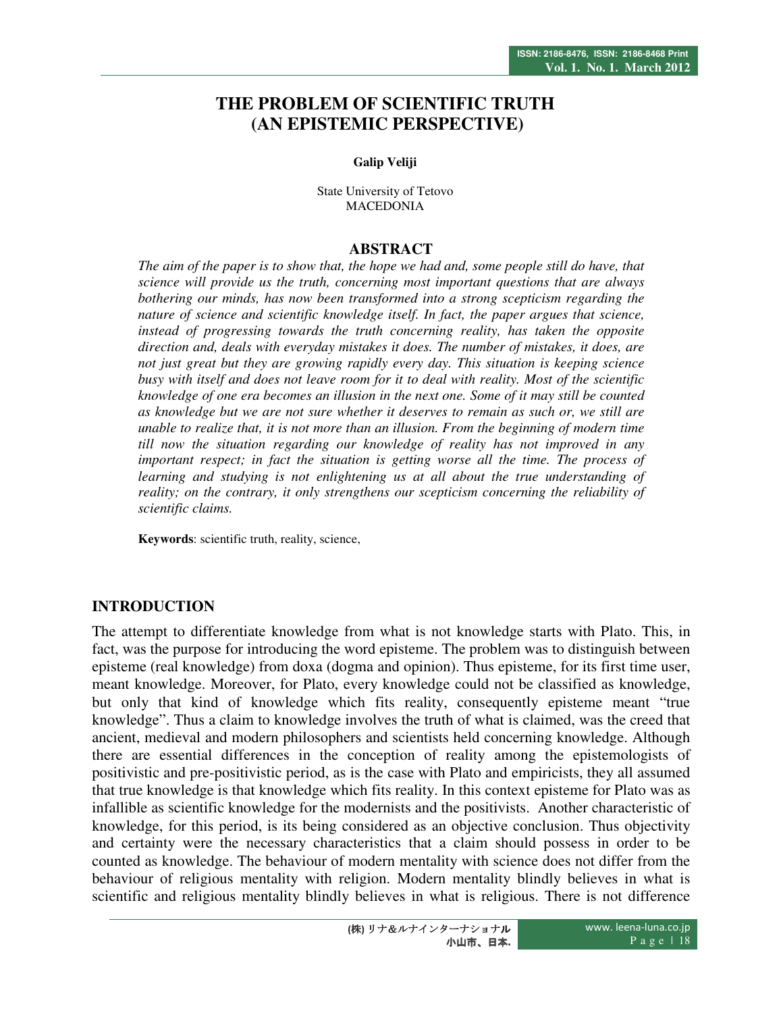# **THE PROBLEM OF SCIENTIFIC TRUTH (AN EPISTEMIC PERSPECTIVE)**

#### **Galip Veliji**

State University of Tetovo MACEDONIA

### **ABSTRACT**

*The aim of the paper is to show that, the hope we had and, some people still do have, that science will provide us the truth, concerning most important questions that are always bothering our minds, has now been transformed into a strong scepticism regarding the nature of science and scientific knowledge itself. In fact, the paper argues that science, instead of progressing towards the truth concerning reality, has taken the opposite direction and, deals with everyday mistakes it does. The number of mistakes, it does, are not just great but they are growing rapidly every day. This situation is keeping science busy with itself and does not leave room for it to deal with reality. Most of the scientific knowledge of one era becomes an illusion in the next one. Some of it may still be counted as knowledge but we are not sure whether it deserves to remain as such or, we still are unable to realize that, it is not more than an illusion. From the beginning of modern time till now the situation regarding our knowledge of reality has not improved in any important respect; in fact the situation is getting worse all the time. The process of learning and studying is not enlightening us at all about the true understanding of reality; on the contrary, it only strengthens our scepticism concerning the reliability of scientific claims.* 

**Keywords**: scientific truth, reality, science,

## **INTRODUCTION**

The attempt to differentiate knowledge from what is not knowledge starts with Plato. This, in fact, was the purpose for introducing the word episteme. The problem was to distinguish between episteme (real knowledge) from doxa (dogma and opinion). Thus episteme, for its first time user, meant knowledge. Moreover, for Plato, every knowledge could not be classified as knowledge, but only that kind of knowledge which fits reality, consequently episteme meant "true knowledge". Thus a claim to knowledge involves the truth of what is claimed, was the creed that ancient, medieval and modern philosophers and scientists held concerning knowledge. Although there are essential differences in the conception of reality among the epistemologists of positivistic and pre-positivistic period, as is the case with Plato and empiricists, they all assumed that true knowledge is that knowledge which fits reality. In this context episteme for Plato was as infallible as scientific knowledge for the modernists and the positivists. Another characteristic of knowledge, for this period, is its being considered as an objective conclusion. Thus objectivity and certainty were the necessary characteristics that a claim should possess in order to be counted as knowledge. The behaviour of modern mentality with science does not differ from the behaviour of religious mentality with religion. Modern mentality blindly believes in what is scientific and religious mentality blindly believes in what is religious. There is not difference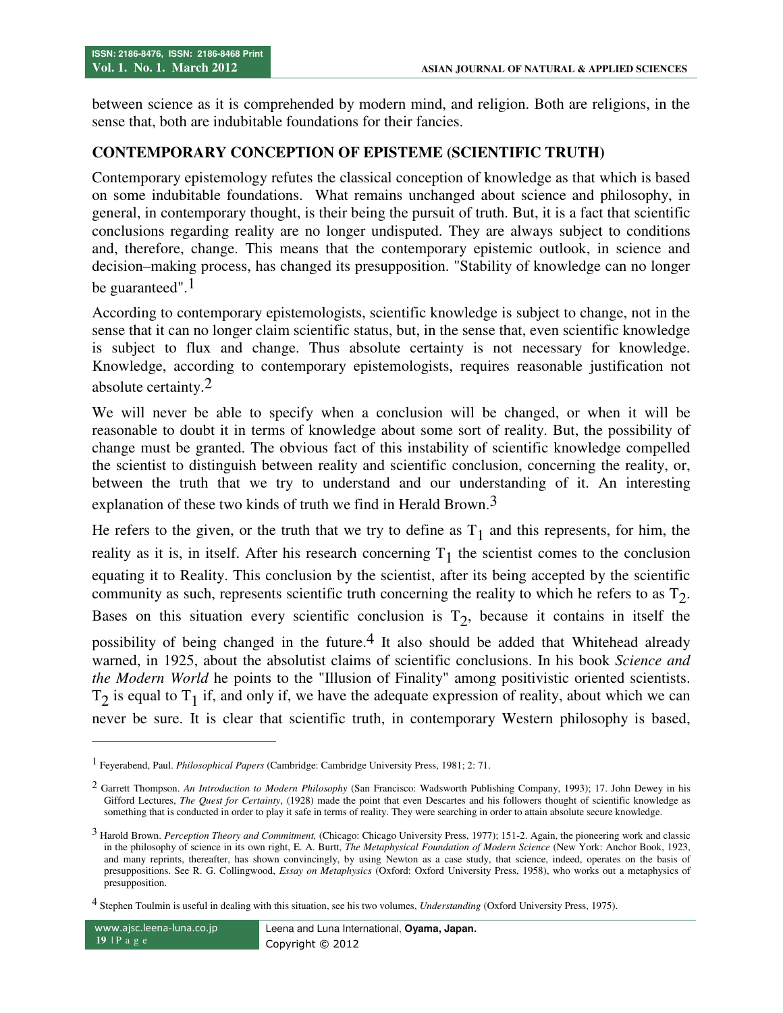between science as it is comprehended by modern mind, and religion. Both are religions, in the sense that, both are indubitable foundations for their fancies.

### **CONTEMPORARY CONCEPTION OF EPISTEME (SCIENTIFIC TRUTH)**

Contemporary epistemology refutes the classical conception of knowledge as that which is based on some indubitable foundations. What remains unchanged about science and philosophy, in general, in contemporary thought, is their being the pursuit of truth. But, it is a fact that scientific conclusions regarding reality are no longer undisputed. They are always subject to conditions and, therefore, change. This means that the contemporary epistemic outlook, in science and decision–making process, has changed its presupposition. "Stability of knowledge can no longer be guaranteed".<sup>1</sup>

According to contemporary epistemologists, scientific knowledge is subject to change, not in the sense that it can no longer claim scientific status, but, in the sense that, even scientific knowledge is subject to flux and change. Thus absolute certainty is not necessary for knowledge. Knowledge, according to contemporary epistemologists, requires reasonable justification not absolute certainty.2

We will never be able to specify when a conclusion will be changed, or when it will be reasonable to doubt it in terms of knowledge about some sort of reality. But, the possibility of change must be granted. The obvious fact of this instability of scientific knowledge compelled the scientist to distinguish between reality and scientific conclusion, concerning the reality, or, between the truth that we try to understand and our understanding of it. An interesting explanation of these two kinds of truth we find in Herald Brown.<sup>3</sup>

He refers to the given, or the truth that we try to define as  $T_1$  and this represents, for him, the reality as it is, in itself. After his research concerning  $T_1$  the scientist comes to the conclusion equating it to Reality. This conclusion by the scientist, after its being accepted by the scientific community as such, represents scientific truth concerning the reality to which he refers to as  $T_2$ . Bases on this situation every scientific conclusion is  $T_2$ , because it contains in itself the possibility of being changed in the future.<sup>4</sup> It also should be added that Whitehead already warned, in 1925, about the absolutist claims of scientific conclusions. In his book *Science and the Modern World* he points to the "Illusion of Finality" among positivistic oriented scientists.  $T_2$  is equal to  $T_1$  if, and only if, we have the adequate expression of reality, about which we can never be sure. It is clear that scientific truth, in contemporary Western philosophy is based,

 $\overline{a}$ 

<sup>1</sup> Feyerabend, Paul. *Philosophical Papers* (Cambridge: Cambridge University Press, 1981; 2: 71.

<sup>2</sup> Garrett Thompson. *An Introduction to Modern Philosophy* (San Francisco: Wadsworth Publishing Company, 1993); 17. John Dewey in his Gifford Lectures, *The Quest for Certainty*, (1928) made the point that even Descartes and his followers thought of scientific knowledge as something that is conducted in order to play it safe in terms of reality. They were searching in order to attain absolute secure knowledge.

<sup>3</sup> Harold Brown. *Perception Theory and Commitment,* (Chicago: Chicago University Press, 1977); 151-2. Again, the pioneering work and classic in the philosophy of science in its own right, E. A. Burtt, *The Metaphysical Foundation of Modern Science* (New York: Anchor Book, 1923, and many reprints, thereafter, has shown convincingly, by using Newton as a case study, that science, indeed, operates on the basis of presuppositions. See R. G. Collingwood, *Essay on Metaphysics* (Oxford: Oxford University Press, 1958), who works out a metaphysics of presupposition.

<sup>4</sup> Stephen Toulmin is useful in dealing with this situation, see his two volumes, *Understanding* (Oxford University Press, 1975).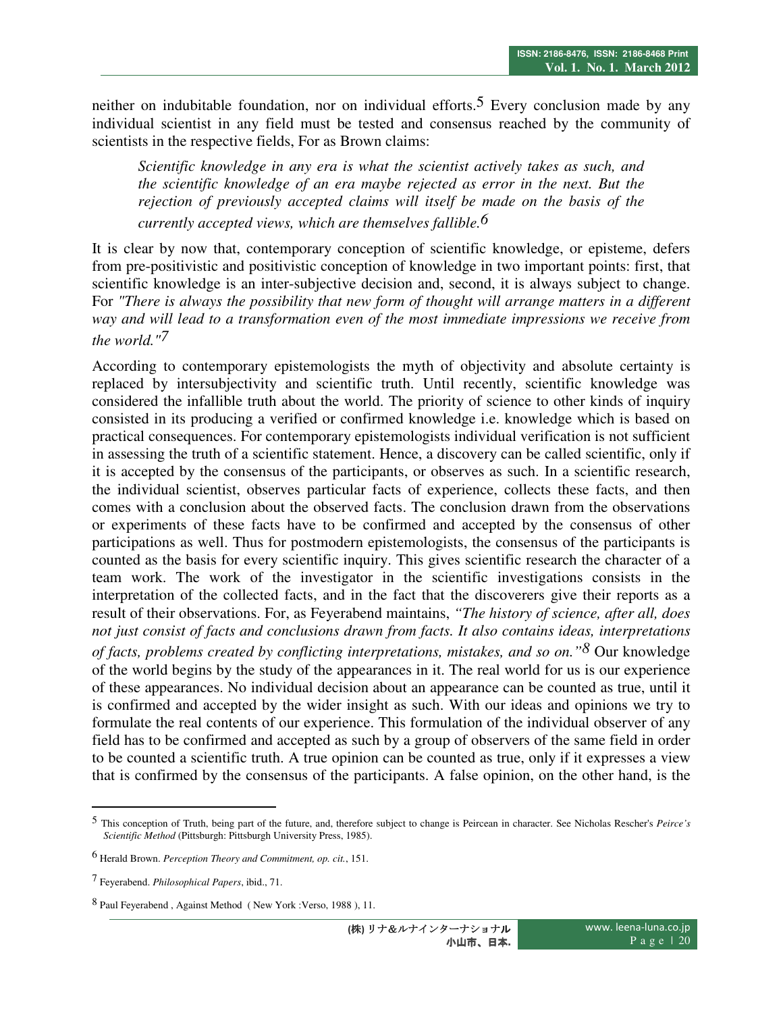neither on indubitable foundation, nor on individual efforts.<sup>5</sup> Every conclusion made by any individual scientist in any field must be tested and consensus reached by the community of scientists in the respective fields, For as Brown claims:

*Scientific knowledge in any era is what the scientist actively takes as such, and the scientific knowledge of an era maybe rejected as error in the next. But the rejection of previously accepted claims will itself be made on the basis of the currently accepted views, which are themselves fallible.6*

It is clear by now that, contemporary conception of scientific knowledge, or episteme, defers from pre-positivistic and positivistic conception of knowledge in two important points: first, that scientific knowledge is an inter-subjective decision and, second, it is always subject to change. For *"There is always the possibility that new form of thought will arrange matters in a different way and will lead to a transformation even of the most immediate impressions we receive from the world."7*

According to contemporary epistemologists the myth of objectivity and absolute certainty is replaced by intersubjectivity and scientific truth. Until recently, scientific knowledge was considered the infallible truth about the world. The priority of science to other kinds of inquiry consisted in its producing a verified or confirmed knowledge i.e. knowledge which is based on practical consequences. For contemporary epistemologists individual verification is not sufficient in assessing the truth of a scientific statement. Hence, a discovery can be called scientific, only if it is accepted by the consensus of the participants, or observes as such. In a scientific research, the individual scientist, observes particular facts of experience, collects these facts, and then comes with a conclusion about the observed facts. The conclusion drawn from the observations or experiments of these facts have to be confirmed and accepted by the consensus of other participations as well. Thus for postmodern epistemologists, the consensus of the participants is counted as the basis for every scientific inquiry. This gives scientific research the character of a team work. The work of the investigator in the scientific investigations consists in the interpretation of the collected facts, and in the fact that the discoverers give their reports as a result of their observations. For, as Feyerabend maintains, *"The history of science, after all, does not just consist of facts and conclusions drawn from facts. It also contains ideas, interpretations of facts, problems created by conflicting interpretations, mistakes, and so on."8* Our knowledge of the world begins by the study of the appearances in it. The real world for us is our experience of these appearances. No individual decision about an appearance can be counted as true, until it is confirmed and accepted by the wider insight as such. With our ideas and opinions we try to formulate the real contents of our experience. This formulation of the individual observer of any field has to be confirmed and accepted as such by a group of observers of the same field in order to be counted a scientific truth. A true opinion can be counted as true, only if it expresses a view that is confirmed by the consensus of the participants. A false opinion, on the other hand, is the

-

<sup>5</sup> This conception of Truth, being part of the future, and, therefore subject to change is Peircean in character. See Nicholas Rescher's *Peirce's Scientific Method* (Pittsburgh: Pittsburgh University Press, 1985).

<sup>6</sup> Herald Brown. *Perception Theory and Commitment, op. cit.*, 151.

<sup>7</sup> Feyerabend. *Philosophical Papers*, ibid., 71.

<sup>8</sup> Paul Feyerabend , Against Method ( New York :Verso, 1988 ), 11.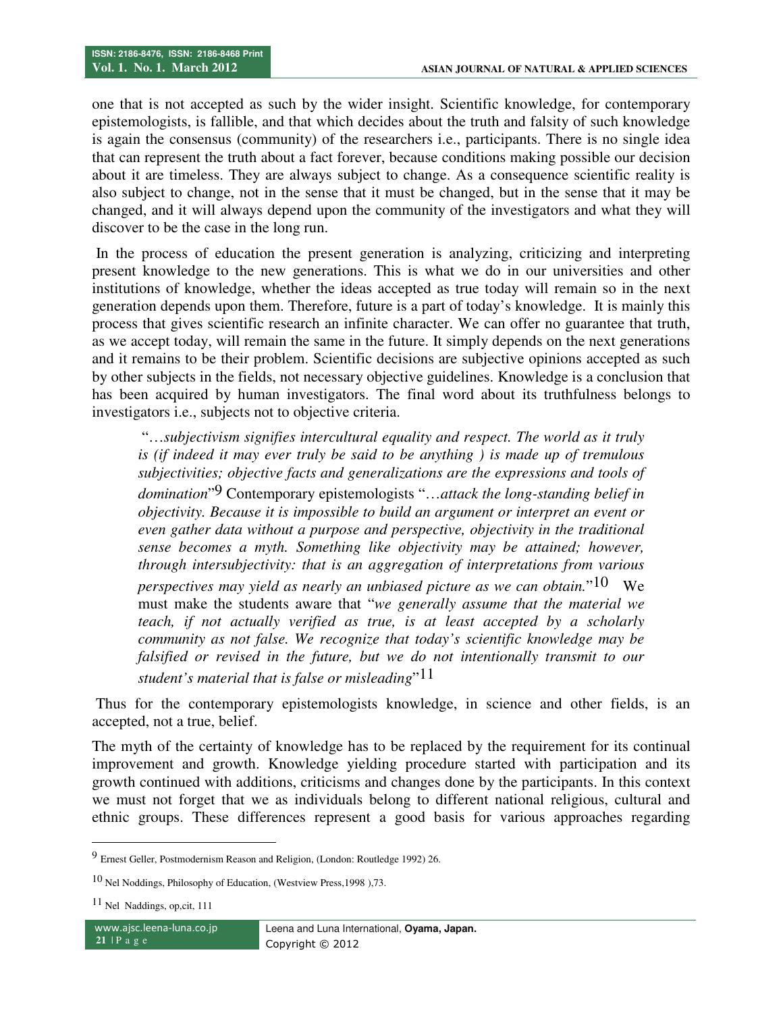one that is not accepted as such by the wider insight. Scientific knowledge, for contemporary epistemologists, is fallible, and that which decides about the truth and falsity of such knowledge is again the consensus (community) of the researchers i.e., participants. There is no single idea that can represent the truth about a fact forever, because conditions making possible our decision about it are timeless. They are always subject to change. As a consequence scientific reality is also subject to change, not in the sense that it must be changed, but in the sense that it may be changed, and it will always depend upon the community of the investigators and what they will discover to be the case in the long run.

 In the process of education the present generation is analyzing, criticizing and interpreting present knowledge to the new generations. This is what we do in our universities and other institutions of knowledge, whether the ideas accepted as true today will remain so in the next generation depends upon them. Therefore, future is a part of today's knowledge. It is mainly this process that gives scientific research an infinite character. We can offer no guarantee that truth, as we accept today, will remain the same in the future. It simply depends on the next generations and it remains to be their problem. Scientific decisions are subjective opinions accepted as such by other subjects in the fields, not necessary objective guidelines. Knowledge is a conclusion that has been acquired by human investigators. The final word about its truthfulness belongs to investigators i.e., subjects not to objective criteria.

 "…*subjectivism signifies intercultural equality and respect. The world as it truly is (if indeed it may ever truly be said to be anything ) is made up of tremulous subjectivities; objective facts and generalizations are the expressions and tools of domination*" 9 Contemporary epistemologists "…*attack the long-standing belief in objectivity. Because it is impossible to build an argument or interpret an event or even gather data without a purpose and perspective, objectivity in the traditional sense becomes a myth. Something like objectivity may be attained; however, through intersubjectivity: that is an aggregation of interpretations from various perspectives may yield as nearly an unbiased picture as we can obtain.*"10 We must make the students aware that "*we generally assume that the material we teach, if not actually verified as true, is at least accepted by a scholarly community as not false. We recognize that today's scientific knowledge may be falsified or revised in the future, but we do not intentionally transmit to our student's material that is false or misleading*"11

 Thus for the contemporary epistemologists knowledge, in science and other fields, is an accepted, not a true, belief.

The myth of the certainty of knowledge has to be replaced by the requirement for its continual improvement and growth. Knowledge yielding procedure started with participation and its growth continued with additions, criticisms and changes done by the participants. In this context we must not forget that we as individuals belong to different national religious, cultural and ethnic groups. These differences represent a good basis for various approaches regarding

l

<sup>9</sup> Ernest Geller, Postmodernism Reason and Religion, (London: Routledge 1992) 26.

<sup>10</sup> Nel Noddings, Philosophy of Education, (Westview Press,1998 ),73.

<sup>11</sup> Nel Naddings, op,cit, 111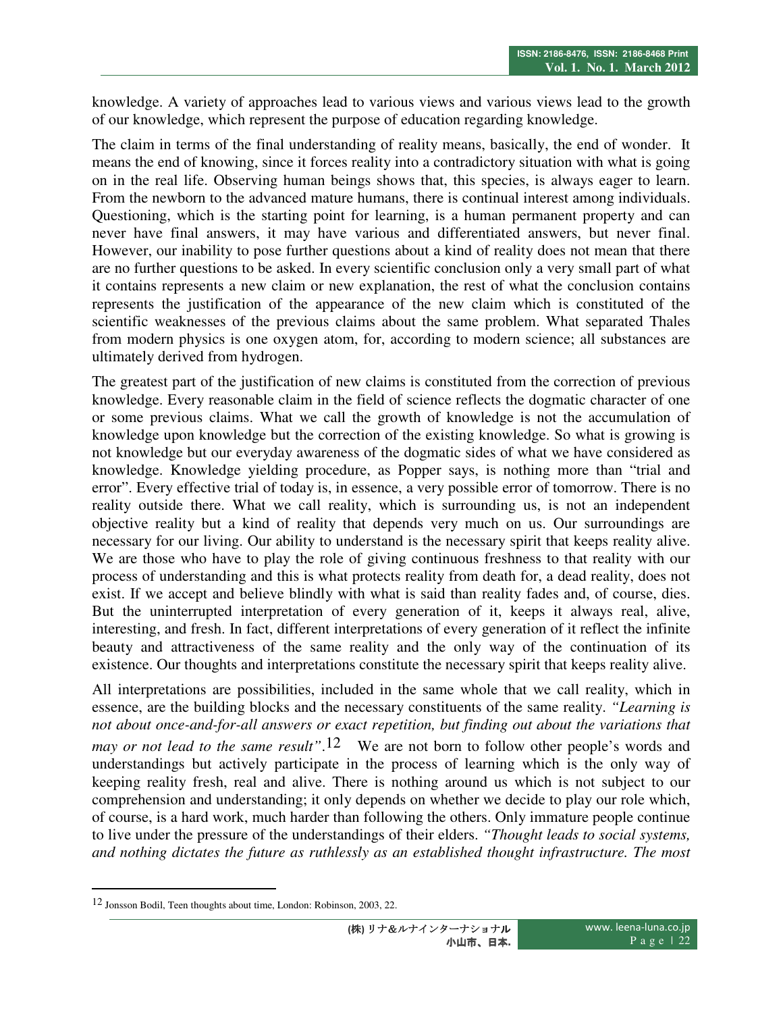knowledge. A variety of approaches lead to various views and various views lead to the growth of our knowledge, which represent the purpose of education regarding knowledge.

The claim in terms of the final understanding of reality means, basically, the end of wonder. It means the end of knowing, since it forces reality into a contradictory situation with what is going on in the real life. Observing human beings shows that, this species, is always eager to learn. From the newborn to the advanced mature humans, there is continual interest among individuals. Questioning, which is the starting point for learning, is a human permanent property and can never have final answers, it may have various and differentiated answers, but never final. However, our inability to pose further questions about a kind of reality does not mean that there are no further questions to be asked. In every scientific conclusion only a very small part of what it contains represents a new claim or new explanation, the rest of what the conclusion contains represents the justification of the appearance of the new claim which is constituted of the scientific weaknesses of the previous claims about the same problem. What separated Thales from modern physics is one oxygen atom, for, according to modern science; all substances are ultimately derived from hydrogen.

The greatest part of the justification of new claims is constituted from the correction of previous knowledge. Every reasonable claim in the field of science reflects the dogmatic character of one or some previous claims. What we call the growth of knowledge is not the accumulation of knowledge upon knowledge but the correction of the existing knowledge. So what is growing is not knowledge but our everyday awareness of the dogmatic sides of what we have considered as knowledge. Knowledge yielding procedure, as Popper says, is nothing more than "trial and error". Every effective trial of today is, in essence, a very possible error of tomorrow. There is no reality outside there. What we call reality, which is surrounding us, is not an independent objective reality but a kind of reality that depends very much on us. Our surroundings are necessary for our living. Our ability to understand is the necessary spirit that keeps reality alive. We are those who have to play the role of giving continuous freshness to that reality with our process of understanding and this is what protects reality from death for, a dead reality, does not exist. If we accept and believe blindly with what is said than reality fades and, of course, dies. But the uninterrupted interpretation of every generation of it, keeps it always real, alive, interesting, and fresh. In fact, different interpretations of every generation of it reflect the infinite beauty and attractiveness of the same reality and the only way of the continuation of its existence. Our thoughts and interpretations constitute the necessary spirit that keeps reality alive.

All interpretations are possibilities, included in the same whole that we call reality, which in essence, are the building blocks and the necessary constituents of the same reality. *"Learning is not about once-and-for-all answers or exact repetition, but finding out about the variations that may or not lead to the same result*".<sup>12</sup> We are not born to follow other people's words and understandings but actively participate in the process of learning which is the only way of keeping reality fresh, real and alive. There is nothing around us which is not subject to our comprehension and understanding; it only depends on whether we decide to play our role which, of course, is a hard work, much harder than following the others. Only immature people continue to live under the pressure of the understandings of their elders. *"Thought leads to social systems, and nothing dictates the future as ruthlessly as an established thought infrastructure. The most* 

-

<sup>12</sup> Jonsson Bodil, Teen thoughts about time, London: Robinson, 2003, 22.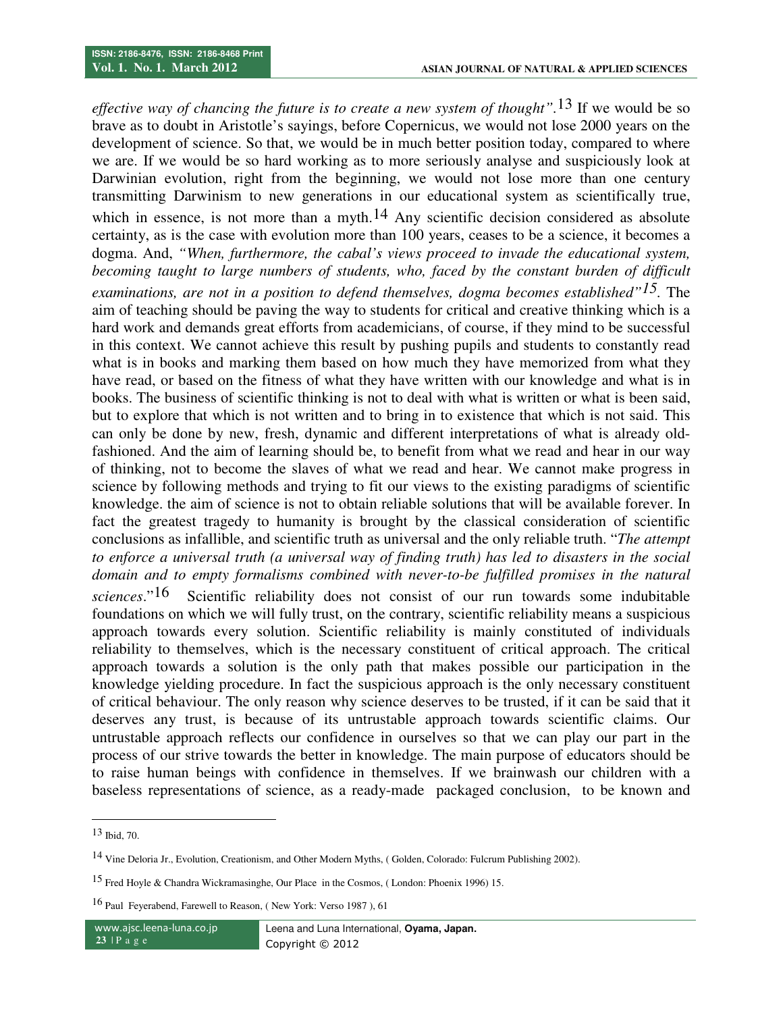*effective way of chancing the future is to create a new system of thought".*13 If we would be so brave as to doubt in Aristotle's sayings, before Copernicus, we would not lose 2000 years on the development of science. So that, we would be in much better position today, compared to where we are. If we would be so hard working as to more seriously analyse and suspiciously look at Darwinian evolution, right from the beginning, we would not lose more than one century transmitting Darwinism to new generations in our educational system as scientifically true, which in essence, is not more than a myth.<sup>14</sup> Any scientific decision considered as absolute certainty, as is the case with evolution more than 100 years, ceases to be a science, it becomes a dogma. And, *"When, furthermore, the cabal's views proceed to invade the educational system, becoming taught to large numbers of students, who, faced by the constant burden of difficult examinations, are not in a position to defend themselves, dogma becomes established"15.* The aim of teaching should be paving the way to students for critical and creative thinking which is a hard work and demands great efforts from academicians, of course, if they mind to be successful in this context. We cannot achieve this result by pushing pupils and students to constantly read what is in books and marking them based on how much they have memorized from what they have read, or based on the fitness of what they have written with our knowledge and what is in books. The business of scientific thinking is not to deal with what is written or what is been said, but to explore that which is not written and to bring in to existence that which is not said. This can only be done by new, fresh, dynamic and different interpretations of what is already oldfashioned. And the aim of learning should be, to benefit from what we read and hear in our way of thinking, not to become the slaves of what we read and hear. We cannot make progress in science by following methods and trying to fit our views to the existing paradigms of scientific knowledge. the aim of science is not to obtain reliable solutions that will be available forever. In fact the greatest tragedy to humanity is brought by the classical consideration of scientific conclusions as infallible, and scientific truth as universal and the only reliable truth. "*The attempt to enforce a universal truth (a universal way of finding truth) has led to disasters in the social domain and to empty formalisms combined with never-to-be fulfilled promises in the natural sciences*."16 Scientific reliability does not consist of our run towards some indubitable foundations on which we will fully trust, on the contrary, scientific reliability means a suspicious approach towards every solution. Scientific reliability is mainly constituted of individuals reliability to themselves, which is the necessary constituent of critical approach. The critical approach towards a solution is the only path that makes possible our participation in the

knowledge yielding procedure. In fact the suspicious approach is the only necessary constituent of critical behaviour. The only reason why science deserves to be trusted, if it can be said that it deserves any trust, is because of its untrustable approach towards scientific claims. Our untrustable approach reflects our confidence in ourselves so that we can play our part in the process of our strive towards the better in knowledge. The main purpose of educators should be to raise human beings with confidence in themselves. If we brainwash our children with a baseless representations of science, as a ready-made packaged conclusion, to be known and

<u>.</u>

<sup>13</sup> Ibid, 70.

<sup>14</sup> Vine Deloria Jr., Evolution, Creationism, and Other Modern Myths, ( Golden, Colorado: Fulcrum Publishing 2002).

<sup>15</sup> Fred Hoyle & Chandra Wickramasinghe, Our Place in the Cosmos, ( London: Phoenix 1996) 15.

<sup>16</sup> Paul Feyerabend, Farewell to Reason, ( New York: Verso 1987 ), 61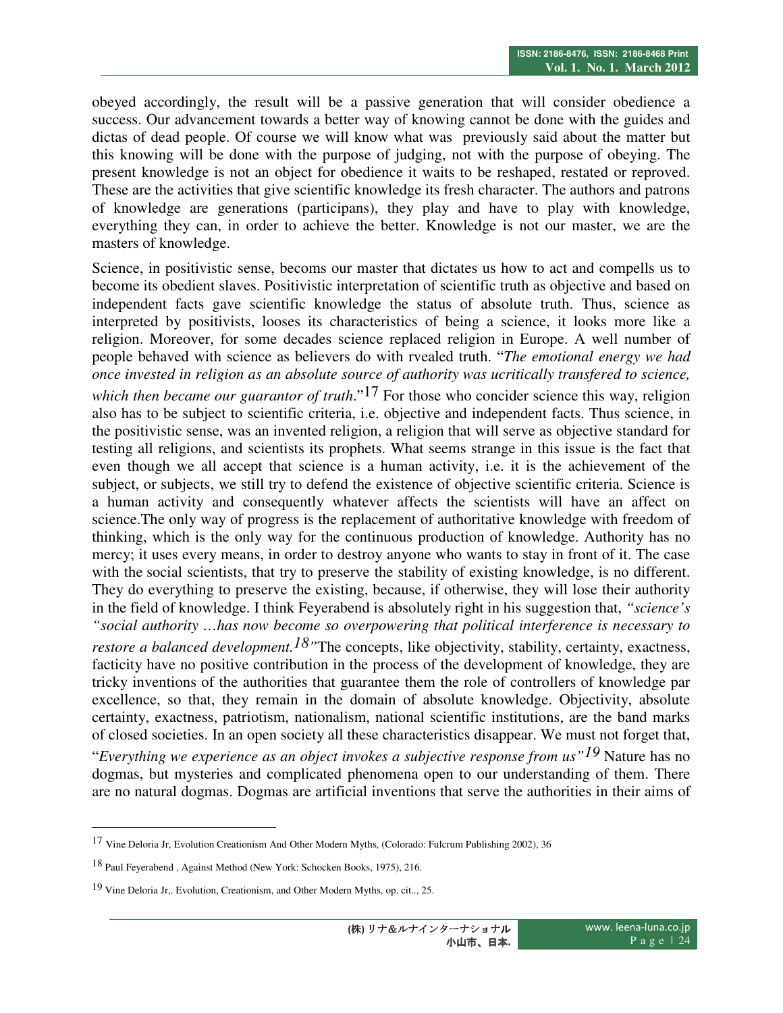obeyed accordingly, the result will be a passive generation that will consider obedience a success. Our advancement towards a better way of knowing cannot be done with the guides and dictas of dead people. Of course we will know what was previously said about the matter but this knowing will be done with the purpose of judging, not with the purpose of obeying. The present knowledge is not an object for obedience it waits to be reshaped, restated or reproved. These are the activities that give scientific knowledge its fresh character. The authors and patrons of knowledge are generations (participans), they play and have to play with knowledge, everything they can, in order to achieve the better. Knowledge is not our master, we are the masters of knowledge.

Science, in positivistic sense, becoms our master that dictates us how to act and compells us to become its obedient slaves. Positivistic interpretation of scientific truth as objective and based on independent facts gave scientific knowledge the status of absolute truth. Thus, science as interpreted by positivists, looses its characteristics of being a science, it looks more like a religion. Moreover, for some decades science replaced religion in Europe. A well number of people behaved with science as believers do with rvealed truth. "*The emotional energy we had once invested in religion as an absolute source of authority was ucritically transfered to science,* 

*which then became our guarantor of truth*."<sup>17</sup> For those who concider science this way, religion also has to be subject to scientific criteria, i.e. objective and independent facts. Thus science, in the positivistic sense, was an invented religion, a religion that will serve as objective standard for testing all religions, and scientists its prophets. What seems strange in this issue is the fact that even though we all accept that science is a human activity, i.e. it is the achievement of the subject, or subjects, we still try to defend the existence of objective scientific criteria. Science is a human activity and consequently whatever affects the scientists will have an affect on science.The only way of progress is the replacement of authoritative knowledge with freedom of thinking, which is the only way for the continuous production of knowledge. Authority has no mercy; it uses every means, in order to destroy anyone who wants to stay in front of it. The case with the social scientists, that try to preserve the stability of existing knowledge, is no different. They do everything to preserve the existing, because, if otherwise, they will lose their authority in the field of knowledge. I think Feyerabend is absolutely right in his suggestion that, *"science's "social authority …has now become so overpowering that political interference is necessary to restore a balanced development.<sup>18</sup>*"The concepts, like objectivity, stability, certainty, exactness, facticity have no positive contribution in the process of the development of knowledge, they are tricky inventions of the authorities that guarantee them the role of controllers of knowledge par excellence, so that, they remain in the domain of absolute knowledge. Objectivity, absolute certainty, exactness, patriotism, nationalism, national scientific institutions, are the band marks of closed societies. In an open society all these characteristics disappear. We must not forget that,

"*Everything we experience as an object invokes a subjective response from us"19* Nature has no dogmas, but mysteries and complicated phenomena open to our understanding of them. There are no natural dogmas. Dogmas are artificial inventions that serve the authorities in their aims of

 $\overline{a}$ 

<sup>17</sup> Vine Deloria Jr, Evolution Creationism And Other Modern Myths, (Colorado: Fulcrum Publishing 2002), 36

<sup>18</sup> Paul Feyerabend , Against Method (New York: Schocken Books, 1975), 216.

<sup>19</sup> Vine Deloria Jr,. Evolution, Creationism, and Other Modern Myths, op. cit.., 25.